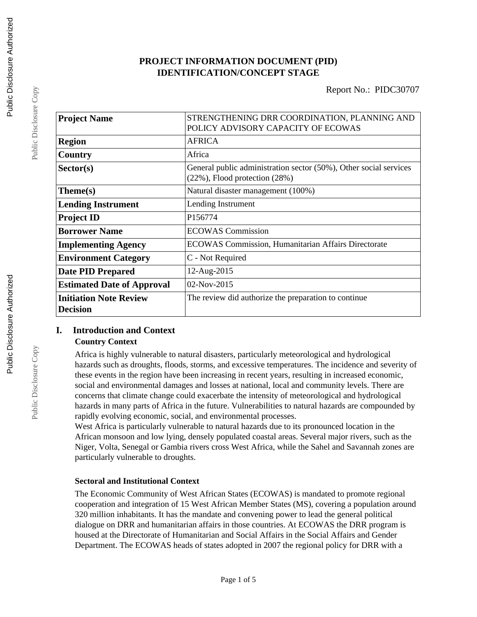## **PROJECT INFORMATION DOCUMENT (PID) IDENTIFICATION/CONCEPT STAGE**

Report No.: PIDC30707

| <b>Project Name</b>                              | STRENGTHENING DRR COORDINATION, PLANNING AND<br>POLICY ADVISORY CAPACITY OF ECOWAS                        |  |  |
|--------------------------------------------------|-----------------------------------------------------------------------------------------------------------|--|--|
| <b>Region</b>                                    | <b>AFRICA</b>                                                                                             |  |  |
| Country                                          | Africa                                                                                                    |  |  |
| Sector(s)                                        | General public administration sector (50%), Other social services<br>$(22\%)$ , Flood protection $(28\%)$ |  |  |
| Theme(s)                                         | Natural disaster management (100%)                                                                        |  |  |
| <b>Lending Instrument</b>                        | Lending Instrument                                                                                        |  |  |
| <b>Project ID</b>                                | P156774                                                                                                   |  |  |
| <b>Borrower Name</b>                             | <b>ECOWAS Commission</b>                                                                                  |  |  |
| <b>Implementing Agency</b>                       | ECOWAS Commission, Humanitarian Affairs Directorate                                                       |  |  |
| <b>Environment Category</b>                      | C - Not Required                                                                                          |  |  |
| <b>Date PID Prepared</b>                         | 12-Aug-2015                                                                                               |  |  |
| <b>Estimated Date of Approval</b>                | 02-Nov-2015                                                                                               |  |  |
| <b>Initiation Note Review</b><br><b>Decision</b> | The review did authorize the preparation to continue                                                      |  |  |

## **I. Introduction and Context Country Context**

Africa is highly vulnerable to natural disasters, particularly meteorological and hydrological hazards such as droughts, floods, storms, and excessive temperatures. The incidence and severity of these events in the region have been increasing in recent years, resulting in increased economic, social and environmental damages and losses at national, local and community levels. There are concerns that climate change could exacerbate the intensity of meteorological and hydrological hazards in many parts of Africa in the future. Vulnerabilities to natural hazards are compounded by rapidly evolving economic, social, and environmental processes.

West Africa is particularly vulnerable to natural hazards due to its pronounced location in the African monsoon and low lying, densely populated coastal areas. Several major rivers, such as the Niger, Volta, Senegal or Gambia rivers cross West Africa, while the Sahel and Savannah zones are particularly vulnerable to droughts.

### **Sectoral and Institutional Context**

The Economic Community of West African States (ECOWAS) is mandated to promote regional cooperation and integration of 15 West African Member States (MS), covering a population around 320 million inhabitants. It has the mandate and convening power to lead the general political dialogue on DRR and humanitarian affairs in those countries. At ECOWAS the DRR program is housed at the Directorate of Humanitarian and Social Affairs in the Social Affairs and Gender Department. The ECOWAS heads of states adopted in 2007 the regional policy for DRR with a

Public Disclosure Copy

Public Disclosure Copy

Public Disclosure Copy

Public Disclosure Copy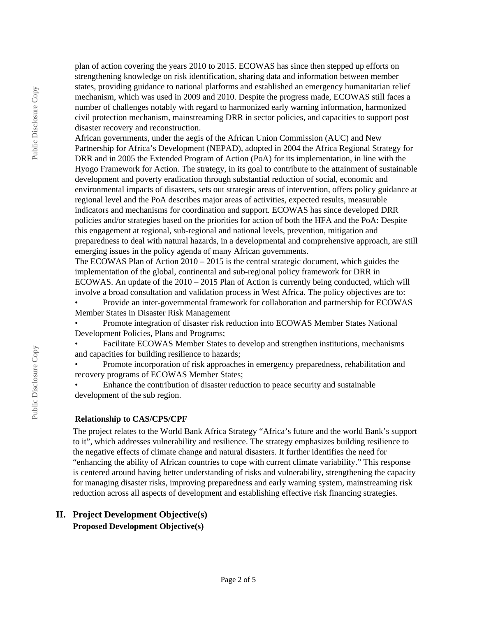plan of action covering the years 2010 to 2015. ECOWAS has since then stepped up efforts on strengthening knowledge on risk identification, sharing data and information between member states, providing guidance to national platforms and established an emergency humanitarian relief mechanism, which was used in 2009 and 2010. Despite the progress made, ECOWAS still faces a number of challenges notably with regard to harmonized early warning information, harmonized civil protection mechanism, mainstreaming DRR in sector policies, and capacities to support post disaster recovery and reconstruction.

African governments, under the aegis of the African Union Commission (AUC) and New Partnership for Africa's Development (NEPAD), adopted in 2004 the Africa Regional Strategy for DRR and in 2005 the Extended Program of Action (PoA) for its implementation, in line with the Hyogo Framework for Action. The strategy, in its goal to contribute to the attainment of sustainable development and poverty eradication through substantial reduction of social, economic and environmental impacts of disasters, sets out strategic areas of intervention, offers policy guidance at regional level and the PoA describes major areas of activities, expected results, measurable indicators and mechanisms for coordination and support. ECOWAS has since developed DRR policies and/or strategies based on the priorities for action of both the HFA and the PoA: Despite this engagement at regional, sub-regional and national levels, prevention, mitigation and preparedness to deal with natural hazards, in a developmental and comprehensive approach, are still emerging issues in the policy agenda of many African governments.

The ECOWAS Plan of Action 2010 – 2015 is the central strategic document, which guides the implementation of the global, continental and sub-regional policy framework for DRR in ECOWAS. An update of the 2010 – 2015 Plan of Action is currently being conducted, which will involve a broad consultation and validation process in West Africa. The policy objectives are to:

• Provide an inter-governmental framework for collaboration and partnership for ECOWAS Member States in Disaster Risk Management

• Promote integration of disaster risk reduction into ECOWAS Member States National Development Policies, Plans and Programs;

• Facilitate ECOWAS Member States to develop and strengthen institutions, mechanisms and capacities for building resilience to hazards;

• Promote incorporation of risk approaches in emergency preparedness, rehabilitation and recovery programs of ECOWAS Member States;

• Enhance the contribution of disaster reduction to peace security and sustainable development of the sub region.

#### **Relationship to CAS/CPS/CPF**

The project relates to the World Bank Africa Strategy "Africa's future and the world Bank's support to it", which addresses vulnerability and resilience. The strategy emphasizes building resilience to the negative effects of climate change and natural disasters. It further identifies the need for "enhancing the ability of African countries to cope with current climate variability." This response is centered around having better understanding of risks and vulnerability, strengthening the capacity for managing disaster risks, improving preparedness and early warning system, mainstreaming risk reduction across all aspects of development and establishing effective risk financing strategies.

## **II. Project Development Objective(s) Proposed Development Objective(s)**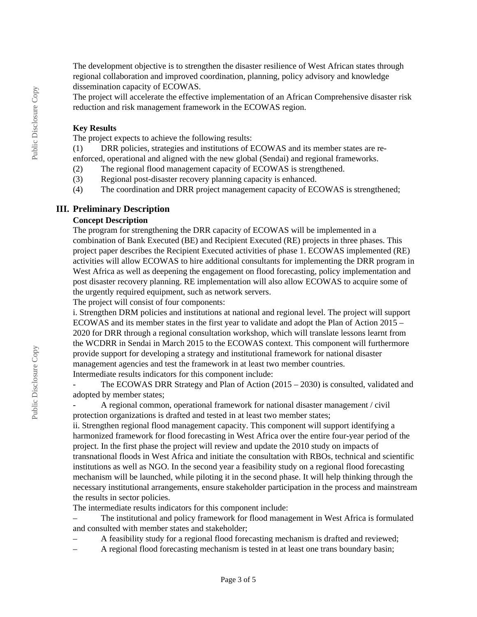The development objective is to strengthen the disaster resilience of West African states through regional collaboration and improved coordination, planning, policy advisory and knowledge dissemination capacity of ECOWAS.

The project will accelerate the effective implementation of an African Comprehensive disaster risk reduction and risk management framework in the ECOWAS region.

### **Key Results**

The project expects to achieve the following results:

(1) DRR policies, strategies and institutions of ECOWAS and its member states are reenforced, operational and aligned with the new global (Sendai) and regional frameworks.

- (2) The regional flood management capacity of ECOWAS is strengthened.
- (3) Regional post-disaster recovery planning capacity is enhanced.
- (4) The coordination and DRR project management capacity of ECOWAS is strengthened;

#### **III. Preliminary Description**

## **Concept Description**

The program for strengthening the DRR capacity of ECOWAS will be implemented in a combination of Bank Executed (BE) and Recipient Executed (RE) projects in three phases. This project paper describes the Recipient Executed activities of phase 1. ECOWAS implemented (RE) activities will allow ECOWAS to hire additional consultants for implementing the DRR program in West Africa as well as deepening the engagement on flood forecasting, policy implementation and post disaster recovery planning. RE implementation will also allow ECOWAS to acquire some of the urgently required equipment, such as network servers.

The project will consist of four components:

i. Strengthen DRM policies and institutions at national and regional level. The project will support ECOWAS and its member states in the first year to validate and adopt the Plan of Action 2015 – 2020 for DRR through a regional consultation workshop, which will translate lessons learnt from the WCDRR in Sendai in March 2015 to the ECOWAS context. This component will furthermore provide support for developing a strategy and institutional framework for national disaster management agencies and test the framework in at least two member countries. Intermediate results indicators for this component include:

The ECOWAS DRR Strategy and Plan of Action  $(2015 - 2030)$  is consulted, validated and adopted by member states;

- A regional common, operational framework for national disaster management / civil protection organizations is drafted and tested in at least two member states;

ii. Strengthen regional flood management capacity. This component will support identifying a harmonized framework for flood forecasting in West Africa over the entire four-year period of the project. In the first phase the project will review and update the 2010 study on impacts of transnational floods in West Africa and initiate the consultation with RBOs, technical and scientific institutions as well as NGO. In the second year a feasibility study on a regional flood forecasting mechanism will be launched, while piloting it in the second phase. It will help thinking through the necessary institutional arrangements, ensure stakeholder participation in the process and mainstream the results in sector policies.

The intermediate results indicators for this component include:

– The institutional and policy framework for flood management in West Africa is formulated and consulted with member states and stakeholder;

– A feasibility study for a regional flood forecasting mechanism is drafted and reviewed;

– A regional flood forecasting mechanism is tested in at least one trans boundary basin;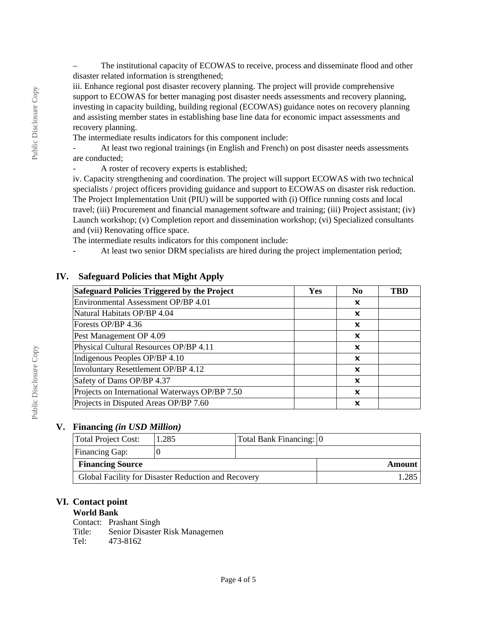– The institutional capacity of ECOWAS to receive, process and disseminate flood and other disaster related information is strengthened;

iii. Enhance regional post disaster recovery planning. The project will provide comprehensive support to ECOWAS for better managing post disaster needs assessments and recovery planning, investing in capacity building, building regional (ECOWAS) guidance notes on recovery planning and assisting member states in establishing base line data for economic impact assessments and recovery planning.

The intermediate results indicators for this component include:

- At least two regional trainings (in English and French) on post disaster needs assessments are conducted;

A roster of recovery experts is established;

iv. Capacity strengthening and coordination. The project will support ECOWAS with two technical specialists / project officers providing guidance and support to ECOWAS on disaster risk reduction. The Project Implementation Unit (PIU) will be supported with (i) Office running costs and local travel; (iii) Procurement and financial management software and training; (iii) Project assistant; (iv) Launch workshop; (v) Completion report and dissemination workshop; (vi) Specialized consultants and (vii) Renovating office space.

The intermediate results indicators for this component include:

- At least two senior DRM specialists are hired during the project implementation period;

| Safeguard Policies Triggered by the Project    | Yes | N <sub>0</sub> | <b>TBD</b> |
|------------------------------------------------|-----|----------------|------------|
| Environmental Assessment OP/BP 4.01            |     | x              |            |
| Natural Habitats OP/BP 4.04                    |     | X              |            |
| Forests OP/BP 4.36                             |     | ×              |            |
| Pest Management OP 4.09                        |     | X              |            |
| Physical Cultural Resources OP/BP 4.11         |     | x              |            |
| Indigenous Peoples OP/BP 4.10                  |     | x              |            |
| <b>Involuntary Resettlement OP/BP 4.12</b>     |     | X              |            |
| Safety of Dams OP/BP 4.37                      |     | X              |            |
| Projects on International Waterways OP/BP 7.50 |     | X              |            |
| Projects in Disputed Areas OP/BP 7.60          |     | x              |            |

## **IV. Safeguard Policies that Might Apply**

### **V. Financing** *(in USD Million)*

| Total Project Cost:                                 | 1.285 | Total Bank Financing: 0 |        |
|-----------------------------------------------------|-------|-------------------------|--------|
| Financing Gap:                                      |       |                         |        |
| <b>Financing Source</b>                             |       |                         | Amount |
| Global Facility for Disaster Reduction and Recovery |       |                         |        |

## **VI. Contact point**

## **World Bank**

Contact: Prashant Singh Title: Senior Disaster Risk Managemen Tel: 473-8162